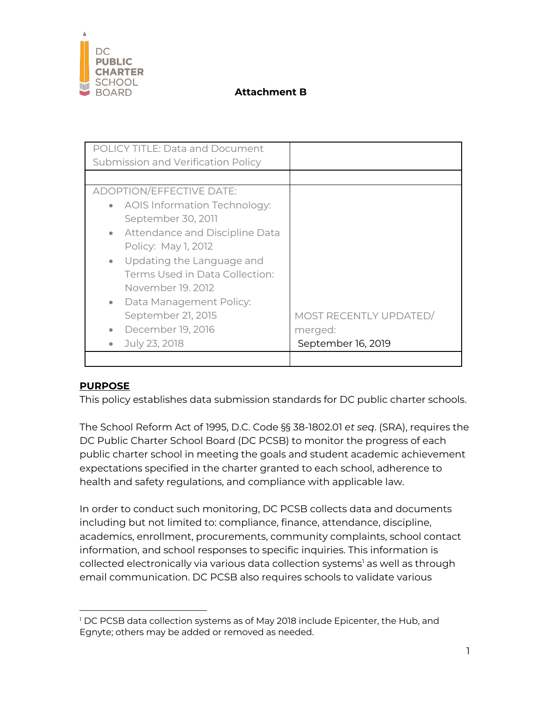

| <b>POLICY TITLE: Data and Document</b>      |                        |
|---------------------------------------------|------------------------|
| Submission and Verification Policy          |                        |
|                                             |                        |
| ADOPTION/EFFECTIVE DATE:                    |                        |
| • AOIS Information Technology:              |                        |
| September 30, 2011                          |                        |
| Attendance and Discipline Data<br>$\bullet$ |                        |
| Policy: May 1, 2012                         |                        |
| • Updating the Language and                 |                        |
| Terms Used in Data Collection:              |                        |
| November 19, 2012                           |                        |
| Data Management Policy:<br>$\bullet$        |                        |
| September 21, 2015                          | MOST RECENTLY UPDATED/ |
| December 19, 2016<br>$\bullet$              | merged:                |
| July 23, 2018<br>$\bullet$                  | September 16, 2019     |
|                                             |                        |

## **PURPOSE**

This policy establishes data submission standards for DC public charter schools.

The School Reform Act of 1995, D.C. Code §§ 38-1802.01 *et seq*. (SRA), requires the DC Public Charter School Board (DC PCSB) to monitor the progress of each public charter school in meeting the goals and student academic achievement expectations specified in the charter granted to each school, adherence to health and safety regulations, and compliance with applicable law.

In order to conduct such monitoring, DC PCSB collects data and documents including but not limited to: compliance, finance, attendance, discipline, academics, enrollment, procurements, community complaints, school contact information, and school responses to specific inquiries. This information is collected electronically via various data collection systems<sup>1</sup> as well as through email communication. DC PCSB also requires schools to validate various

<sup>&</sup>lt;sup>1</sup> DC PCSB data collection systems as of May 2018 include Epicenter, the Hub, and Egnyte; others may be added or removed as needed.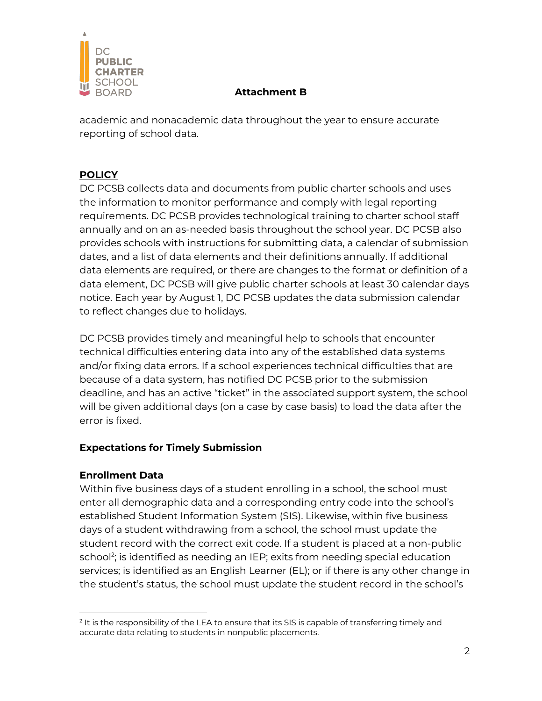

academic and nonacademic data throughout the year to ensure accurate reporting of school data.

# **POLICY**

DC PCSB collects data and documents from public charter schools and uses the information to monitor performance and comply with legal reporting requirements. DC PCSB provides technological training to charter school staff annually and on an as-needed basis throughout the school year. DC PCSB also provides schools with instructions for submitting data, a calendar of submission dates, and a list of data elements and their definitions annually. If additional data elements are required, or there are changes to the format or definition of a data element, DC PCSB will give public charter schools at least 30 calendar days notice. Each year by August 1, DC PCSB updates the data submission calendar to reflect changes due to holidays.

DC PCSB provides timely and meaningful help to schools that encounter technical difficulties entering data into any of the established data systems and/or fixing data errors. If a school experiences technical difficulties that are because of a data system, has notified DC PCSB prior to the submission deadline, and has an active "ticket" in the associated support system, the school will be given additional days (on a case by case basis) to load the data after the error is fixed.

# **Expectations for Timely Submission**

## **Enrollment Data**

Within five business days of a student enrolling in a school, the school must enter all demographic data and a corresponding entry code into the school's established Student Information System (SIS). Likewise, within five business days of a student withdrawing from a school, the school must update the student record with the correct exit code. If a student is placed at a non-public school<sup>2</sup>; is identified as needing an IEP; exits from needing special education services; is identified as an English Learner (EL); or if there is any other change in the student's status, the school must update the student record in the school's

 $2$  It is the responsibility of the LEA to ensure that its SIS is capable of transferring timely and accurate data relating to students in nonpublic placements.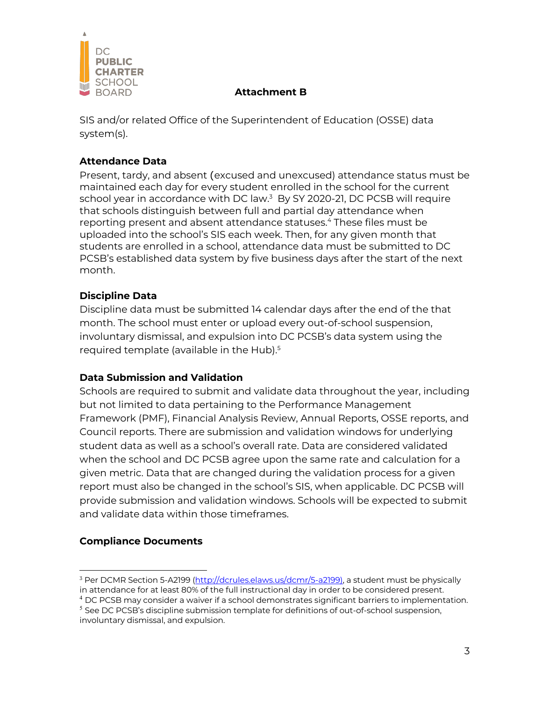

SIS and/or related Office of the Superintendent of Education (OSSE) data system(s).

### **Attendance Data**

Present, tardy, and absent (excused and unexcused) attendance status must be maintained each day for every student enrolled in the school for the current school year in accordance with DC law. <sup>3</sup> By SY 2020-21, DC PCSB will require that schools distinguish between full and partial day attendance when reporting present and absent attendance statuses. <sup>4</sup> These files must be uploaded into the school's SIS each week. Then, for any given month that students are enrolled in a school, attendance data must be submitted to DC PCSB's established data system by five business days after the start of the next month.

## **Discipline Data**

Discipline data must be submitted 14 calendar days after the end of the that month. The school must enter or upload every out-of-school suspension, involuntary dismissal, and expulsion into DC PCSB's data system using the required template (available in the Hub). 5

#### **Data Submission and Validation**

Schools are required to submit and validate data throughout the year, including but not limited to data pertaining to the Performance Management Framework (PMF), Financial Analysis Review, Annual Reports, OSSE reports, and Council reports. There are submission and validation windows for underlying student data as well as a school's overall rate. Data are considered validated when the school and DC PCSB agree upon the same rate and calculation for a given metric. Data that are changed during the validation process for a given report must also be changed in the school's SIS, when applicable. DC PCSB will provide submission and validation windows. Schools will be expected to submit and validate data within those timeframes.

## **Compliance Documents**

<sup>&</sup>lt;sup>3</sup> Per DCMR Section 5-A2199 (http://dcrules.elaws.us/dcmr/5-a2199), a student must be physically in attendance for at least 80% of the full instructional day in order to be considered present.

 $4$  DC PCSB may consider a waiver if a school demonstrates significant barriers to implementation.  $<sup>5</sup>$  See DC PCSB's discipline submission template for definitions of out-of-school suspension,</sup>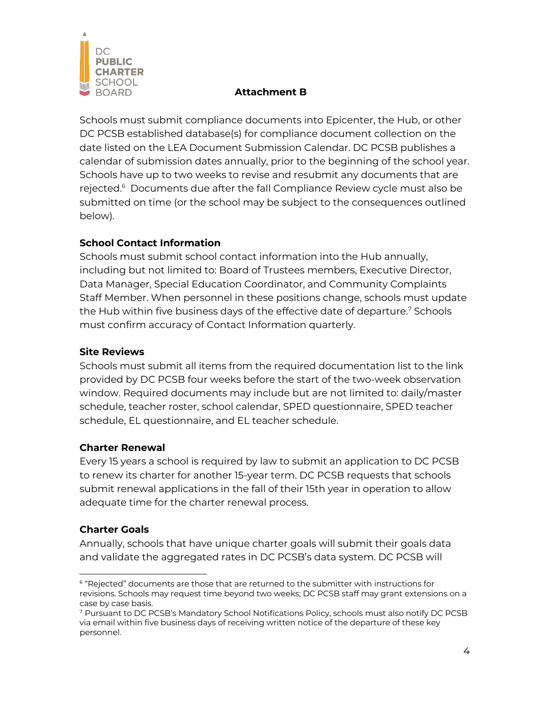

Schools must submit compliance documents into Epicenter, the Hub, or other DC PCSB established database(s) for compliance document collection on the date listed on the LEA Document Submission Calendar. DC PCSB publishes a calendar of submission dates annually, prior to the beginning of the school year. Schools have up to two weeks to revise and resubmit any documents that are rejected.<sup>6</sup> Documents due after the fall Compliance Review cycle must also be submitted on time (or the school may be subject to the consequences outlined below).

## **School Contact Information**

Schools must submit school contact information into the Hub annually, including but not limited to: Board of Trustees members, Executive Director, Data Manager, Special Education Coordinator, and Community Complaints Staff Member. When personnel in these positions change, schools must update the Hub within five business days of the effective date of departure. <sup>7</sup> Schools must confirm accuracy of Contact Information quarterly.

### **Site Reviews**

Schools must submit all items from the required documentation list to the link provided by DC PCSB four weeks before the start of the two-week observation window. Required documents may include but are not limited to: daily/master schedule, teacher roster, school calendar, SPED questionnaire, SPED teacher schedule, EL questionnaire, and EL teacher schedule.

#### **Charter Renewal**

Every 15 years a school is required by law to submit an application to DC PCSB to renew its charter for another 15-year term. DC PCSB requests that schools submit renewal applications in the fall of their 15th year in operation to allow adequate time for the charter renewal process.

#### **Charter Goals**

Annually, schools that have unique charter goals will submit their goals data and validate the aggregated rates in DC PCSB's data system. DC PCSB will

 $6$  "Rejected" documents are those that are returned to the submitter with instructions for revisions. Schools may request time beyond two weeks; DC PCSB staff may grant extensions on a case by case basis.

<sup>7</sup> Pursuant to DC PCSB's Mandatory School Notifications Policy, schools must also notify DC PCSB via email within five business days of receiving written notice of the departure of these key personnel.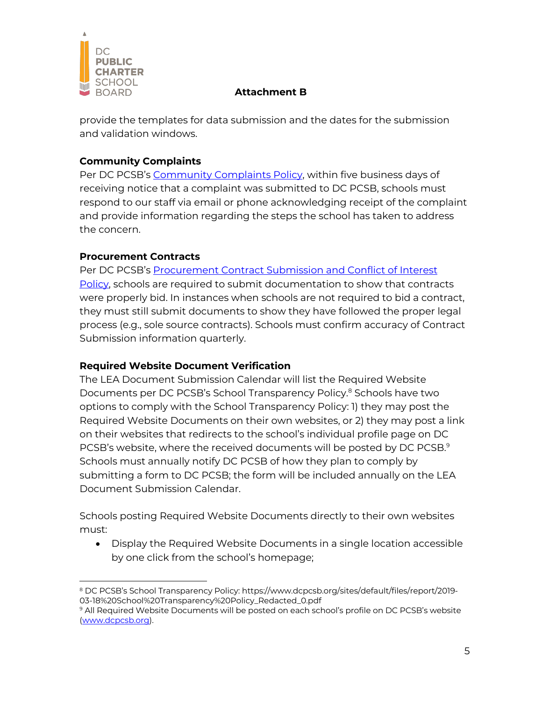

provide the templates for data submission and the dates for the submission and validation windows.

### **Community Complaints**

Per DC PCSB's Community Complaints Policy, within five business days of receiving notice that a complaint was submitted to DC PCSB, schools must respond to our staff via email or phone acknowledging receipt of the complaint and provide information regarding the steps the school has taken to address the concern.

### **Procurement Contracts**

Per DC PCSB's Procurement Contract Submission and Conflict of Interest Policy, schools are required to submit documentation to show that contracts were properly bid. In instances when schools are not required to bid a contract, they must still submit documents to show they have followed the proper legal process (e.g., sole source contracts). Schools must confirm accuracy of Contract Submission information quarterly.

#### **Required Website Document Verification**

The LEA Document Submission Calendar will list the Required Website Documents per DC PCSB's School Transparency Policy. <sup>8</sup> Schools have two options to comply with the School Transparency Policy: 1) they may post the Required Website Documents on their own websites, or 2) they may post a link on their websites that redirects to the school's individual profile page on DC PCSB's website, where the received documents will be posted by DC PCSB. 9 Schools must annually notify DC PCSB of how they plan to comply by submitting a form to DC PCSB; the form will be included annually on the LEA Document Submission Calendar.

Schools posting Required Website Documents directly to their own websites must:

• Display the Required Website Documents in a single location accessible by one click from the school's homepage;

<sup>8</sup> DC PCSB's School Transparency Policy: https://www.dcpcsb.org/sites/default/files/report/2019- 03-18%20School%20Transparency%20Policy\_Redacted\_0.pdf

<sup>&</sup>lt;sup>9</sup> All Required Website Documents will be posted on each school's profile on DC PCSB's website (www.dcpcsb.org).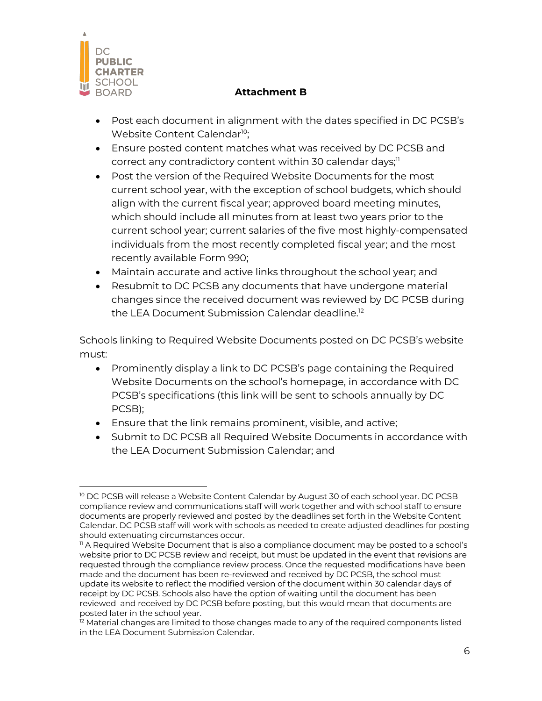

- Post each document in alignment with the dates specified in DC PCSB's Website Content Calendar<sup>10</sup>;
- Ensure posted content matches what was received by DC PCSB and correct any contradictory content within 30 calendar days; 11
- Post the version of the Required Website Documents for the most current school year, with the exception of school budgets, which should align with the current fiscal year; approved board meeting minutes, which should include all minutes from at least two years prior to the current school year; current salaries of the five most highly-compensated individuals from the most recently completed fiscal year; and the most recently available Form 990;
- Maintain accurate and active links throughout the school year; and
- Resubmit to DC PCSB any documents that have undergone material changes since the received document was reviewed by DC PCSB during the LEA Document Submission Calendar deadline. 12

Schools linking to Required Website Documents posted on DC PCSB's website must:

- Prominently display a link to DC PCSB's page containing the Required Website Documents on the school's homepage, in accordance with DC PCSB's specifications (this link will be sent to schools annually by DC PCSB);
- Ensure that the link remains prominent, visible, and active;
- Submit to DC PCSB all Required Website Documents in accordance with the LEA Document Submission Calendar; and

<sup>&</sup>lt;sup>10</sup> DC PCSB will release a Website Content Calendar by August 30 of each school year. DC PCSB compliance review and communications staff will work together and with school staff to ensure documents are properly reviewed and posted by the deadlines set forth in the Website Content Calendar. DC PCSB staff will work with schools as needed to create adjusted deadlines for posting should extenuating circumstances occur.

<sup>&</sup>lt;sup>11</sup> A Required Website Document that is also a compliance document may be posted to a school's website prior to DC PCSB review and receipt, but must be updated in the event that revisions are requested through the compliance review process. Once the requested modifications have been made and the document has been re-reviewed and received by DC PCSB, the school must update its website to reflect the modified version of the document within 30 calendar days of receipt by DC PCSB. Schools also have the option of waiting until the document has been reviewed and received by DC PCSB before posting, but this would mean that documents are posted later in the school year.

<sup>&</sup>lt;sup>12</sup> Material changes are limited to those changes made to any of the required components listed in the LEA Document Submission Calendar.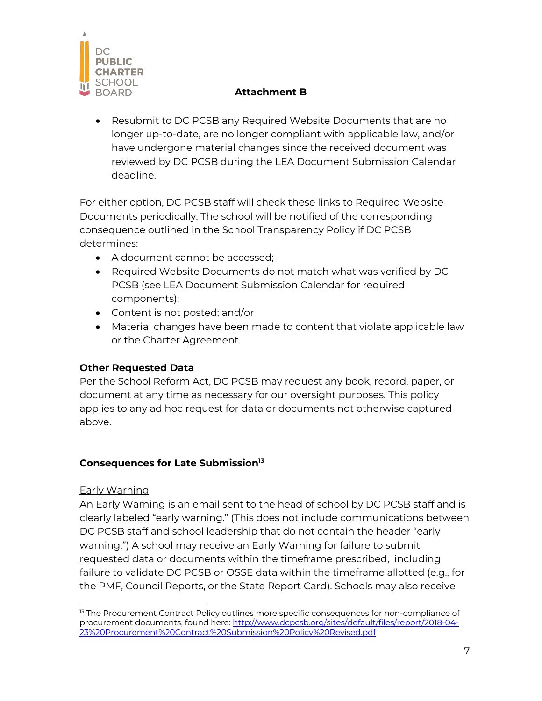

• Resubmit to DC PCSB any Required Website Documents that are no longer up-to-date, are no longer compliant with applicable law, and/or have undergone material changes since the received document was reviewed by DC PCSB during the LEA Document Submission Calendar deadline.

For either option, DC PCSB staff will check these links to Required Website Documents periodically. The school will be notified of the corresponding consequence outlined in the School Transparency Policy if DC PCSB determines:

- A document cannot be accessed;
- Required Website Documents do not match what was verified by DC PCSB (see LEA Document Submission Calendar for required components);
- Content is not posted; and/or
- Material changes have been made to content that violate applicable law or the Charter Agreement.

## **Other Requested Data**

Per the School Reform Act, DC PCSB may request any book, record, paper, or document at any time as necessary for our oversight purposes. This policy applies to any ad hoc request for data or documents not otherwise captured above.

#### **Consequences for Late Submission13**

#### Early Warning

An Early Warning is an email sent to the head of school by DC PCSB staff and is clearly labeled "early warning." (This does not include communications between DC PCSB staff and school leadership that do not contain the header "early warning.") A school may receive an Early Warning for failure to submit requested data or documents within the timeframe prescribed, including failure to validate DC PCSB or OSSE data within the timeframe allotted (e.g., for the PMF, Council Reports, or the State Report Card). Schools may also receive

<sup>&</sup>lt;sup>13</sup> The Procurement Contract Policy outlines more specific consequences for non-compliance of procurement documents, found here: http://www.dcpcsb.org/sites/default/files/report/2018-04- 23%20Procurement%20Contract%20Submission%20Policy%20Revised.pdf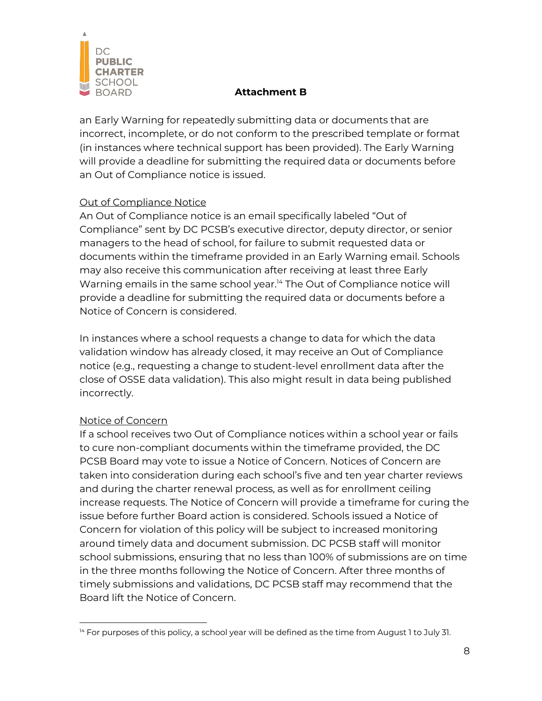

an Early Warning for repeatedly submitting data or documents that are incorrect, incomplete, or do not conform to the prescribed template or format (in instances where technical support has been provided). The Early Warning will provide a deadline for submitting the required data or documents before an Out of Compliance notice is issued.

### Out of Compliance Notice

An Out of Compliance notice is an email specifically labeled "Out of Compliance" sent by DC PCSB's executive director, deputy director, or senior managers to the head of school, for failure to submit requested data or documents within the timeframe provided in an Early Warning email. Schools may also receive this communication after receiving at least three Early Warning emails in the same school year. <sup>14</sup> The Out of Compliance notice will provide a deadline for submitting the required data or documents before a Notice of Concern is considered.

In instances where a school requests a change to data for which the data validation window has already closed, it may receive an Out of Compliance notice (e.g., requesting a change to student-level enrollment data after the close of OSSE data validation). This also might result in data being published incorrectly.

## Notice of Concern

If a school receives two Out of Compliance notices within a school year or fails to cure non-compliant documents within the timeframe provided, the DC PCSB Board may vote to issue a Notice of Concern. Notices of Concern are taken into consideration during each school's five and ten year charter reviews and during the charter renewal process, as well as for enrollment ceiling increase requests. The Notice of Concern will provide a timeframe for curing the issue before further Board action is considered. Schools issued a Notice of Concern for violation of this policy will be subject to increased monitoring around timely data and document submission. DC PCSB staff will monitor school submissions, ensuring that no less than 100% of submissions are on time in the three months following the Notice of Concern. After three months of timely submissions and validations, DC PCSB staff may recommend that the Board lift the Notice of Concern.

 $14$  For purposes of this policy, a school year will be defined as the time from August 1 to July 31.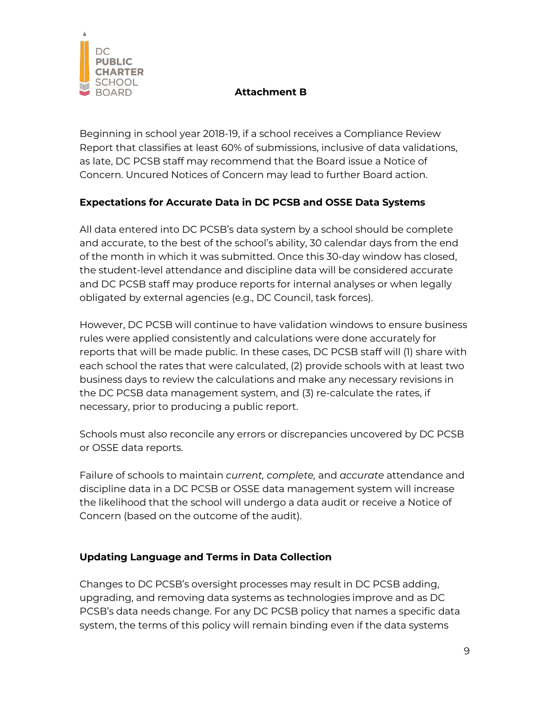

Beginning in school year 2018-19, if a school receives a Compliance Review Report that classifies at least 60% of submissions, inclusive of data validations, as late, DC PCSB staff may recommend that the Board issue a Notice of Concern. Uncured Notices of Concern may lead to further Board action.

# **Expectations for Accurate Data in DC PCSB and OSSE Data Systems**

All data entered into DC PCSB's data system by a school should be complete and accurate, to the best of the school's ability, 30 calendar days from the end of the month in which it was submitted. Once this 30-day window has closed, the student-level attendance and discipline data will be considered accurate and DC PCSB staff may produce reports for internal analyses or when legally obligated by external agencies (e.g., DC Council, task forces).

However, DC PCSB will continue to have validation windows to ensure business rules were applied consistently and calculations were done accurately for reports that will be made public. In these cases, DC PCSB staff will (1) share with each school the rates that were calculated, (2) provide schools with at least two business days to review the calculations and make any necessary revisions in the DC PCSB data management system, and (3) re-calculate the rates, if necessary, prior to producing a public report.

Schools must also reconcile any errors or discrepancies uncovered by DC PCSB or OSSE data reports.

Failure of schools to maintain *current, complete,* and *accurate* attendance and discipline data in a DC PCSB or OSSE data management system will increase the likelihood that the school will undergo a data audit or receive a Notice of Concern (based on the outcome of the audit).

## **Updating Language and Terms in Data Collection**

Changes to DC PCSB's oversight processes may result in DC PCSB adding, upgrading, and removing data systems as technologies improve and as DC PCSB's data needs change. For any DC PCSB policy that names a specific data system, the terms of this policy will remain binding even if the data systems